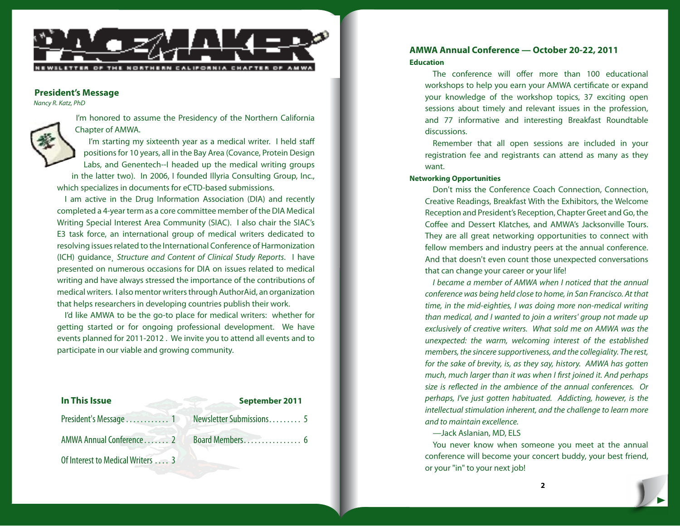

#### **President's Message**

*Nancy R. Katz, PhD*



I'm honored to assume the Presidency of the Northern California Chapter of AMWA.

I'm starting my sixteenth year as a medical writer. I held staff positions for 10 years, all in the Bay Area (Covance, Protein Design Labs, and Genentech--I headed up the medical writing groups in the latter two). In 2006, I founded Illyria Consulting Group, Inc.,

which specializes in documents for eCTD-based submissions.

I am active in the Drug Information Association (DIA) and recently completed a 4-year term as a core committee member of the DIA Medical Writing Special Interest Area Community (SIAC). I also chair the SIAC's E3 task force, an international group of medical writers dedicated to resolving issues related to the International Conference of Harmonization (ICH) guidance¸ *Structure and Content of Clinical Study Reports*. I have presented on numerous occasions for DIA on issues related to medical writing and have always stressed the importance of the contributions of medical writers. I also mentor writers through AuthorAid, an organization that helps researchers in developing countries publish their work.

I'd like AMWA to be the go-to place for medical writers: whether for getting started or for ongoing professional development. We have events planned for 2011-2012 . We invite you to attend all events and to participate in our viable and growing community.

| In This Issue                    | September 2011           |
|----------------------------------|--------------------------|
| President's Message  1           | Newsletter Submissions 5 |
| AMWA Annual Conference 2         | Board Members 6          |
| Of Interest to Medical Writers 3 |                          |

# **AMWA Annual Conference — October 20-22, 2011 Education**

The conference will offer more than 100 educational workshops to help you earn your AMWA certificate or expand your knowledge of the workshop topics, 37 exciting open sessions about timely and relevant issues in the profession, and 77 informative and interesting Breakfast Roundtable discussions.

Remember that all open sessions are included in your registration fee and registrants can attend as many as they want.

## **Networking Opportunities**

Don't miss the Conference Coach Connection, Connection, Creative Readings, Breakfast With the Exhibitors, the Welcome Reception and President's Reception, Chapter Greet and Go, the Coffee and Dessert Klatches, and AMWA's Jacksonville Tours. They are all great networking opportunities to connect with fellow members and industry peers at the annual conference. And that doesn't even count those unexpected conversations that can change your career or your life!

*I became a member of AMWA when I noticed that the annual conference was being held close to home, in San Francisco. At that time, in the mid-eighties, I was doing more non-medical writing than medical, and I wanted to join a writers' group not made up exclusively of creative writers. What sold me on AMWA was the unexpected: the warm, welcoming interest of the established members, the sincere supportiveness, and the collegiality. The rest, for the sake of brevity, is, as they say, history. AMWA has gotten much, much larger than it was when I first joined it. And perhaps size is reflected in the ambience of the annual conferences. Or perhaps, I've just gotten habituated. Addicting, however, is the intellectual stimulation inherent, and the challenge to learn more and to maintain excellence.*

*—*Jack Aslanian, MD, ELS

You never know when someone you meet at the annual conference will become your concert buddy, your best friend, or your "in" to your next job!

**2**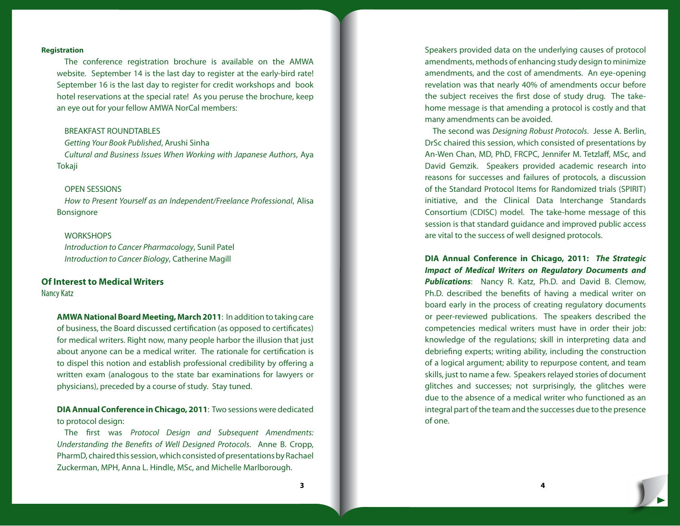#### **Registration**

The conference registration brochure is available on the [AMWA](http://www.amwa.org/default/conference/2011/2011regbrochure.pdf) [website.](http://www.amwa.org/default/conference/2011/2011regbrochure.pdf) September 14 is the last day to register at the early-bird rate! September 16 is the last day to register for credit workshops and book hotel reservations at the special rate! As you peruse the brochure, keep an eye out for your fellow AMWA NorCal members:

#### BREAKFAST ROUNDTABLES

*Getting Your Book Published*, Arushi Sinha *Cultural and Business Issues When Working with Japanese Authors*, Aya Tokaji

#### OPEN SESSIONS

*How to Present Yourself as an Independent/Freelance Professional*, Alisa Bonsignore

#### **WORKSHOPS**

*Introduction to Cancer Pharmacology*, Sunil Patel *Introduction to Cancer Biology*, Catherine Magill

#### **Of Interest to Medical Writers**

Nancy Katz

**AMWA National Board Meeting, March 2011**: In addition to taking care of business, the Board discussed certification (as opposed to certificates) for medical writers. Right now, many people harbor the illusion that just about anyone can be a medical writer. The rationale for certification is to dispel this notion and establish professional credibility by offering a written exam (analogous to the state bar examinations for lawyers or physicians), preceded by a course of study. Stay tuned.

**DIA Annual Conference in Chicago, 2011**: Two sessions were dedicated to protocol design:

The first was *Protocol Design and Subsequent Amendments: Understanding the Benefits of Well Designed Protocols*. Anne B. Cropp, PharmD, chaired this session, which consisted of presentations by Rachael Zuckerman, MPH, Anna L. Hindle, MSc, and Michelle Marlborough.

Speakers provided data on the underlying causes of protocol amendments, methods of enhancing study design to minimize amendments, and the cost of amendments. An eye-opening revelation was that nearly 40% of amendments occur before the subject receives the first dose of study drug. The takehome message is that amending a protocol is costly and that many amendments can be avoided.

The second was *Designing Robust Protocols*. Jesse A. Berlin, DrSc chaired this session, which consisted of presentations by An-Wen Chan, MD, PhD, FRCPC, Jennifer M. Tetzlaff, MSc, and David Gemzik. Speakers provided academic research into reasons for successes and failures of protocols, a discussion of the Standard Protocol Items for Randomized trials (SPIRIT) initiative, and the Clinical Data Interchange Standards Consortium (CDISC) model. The take-home message of this session is that standard guidance and improved public access are vital to the success of well designed protocols.

**DIA Annual Conference in Chicago, 2011:** *The Strategic Impact of Medical Writers on Regulatory Documents and Publications*: Nancy R. Katz, Ph.D. and David B. Clemow, Ph.D. described the benefits of having a medical writer on board early in the process of creating regulatory documents or peer-reviewed publications. The speakers described the competencies medical writers must have in order their job: knowledge of the regulations; skill in interpreting data and debriefing experts; writing ability, including the construction of a logical argument; ability to repurpose content, and team skills, just to name a few. Speakers relayed stories of document glitches and successes; not surprisingly, the glitches were due to the absence of a medical writer who functioned as an integral part of the team and the successes due to the presence of one.